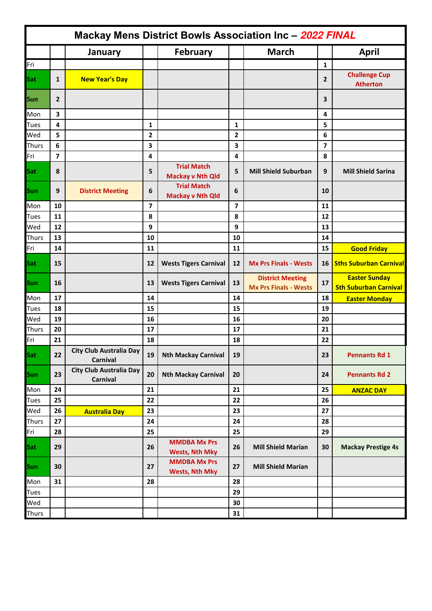| Mackay Mens District Bowls Association Inc - 2022 FINAL |                         |                                            |                         |                                               |              |                                                         |                |                                                      |
|---------------------------------------------------------|-------------------------|--------------------------------------------|-------------------------|-----------------------------------------------|--------------|---------------------------------------------------------|----------------|------------------------------------------------------|
|                                                         |                         | January                                    |                         | <b>February</b>                               |              | <b>March</b>                                            |                | <b>April</b>                                         |
| Fri                                                     |                         |                                            |                         |                                               |              |                                                         | $\mathbf{1}$   |                                                      |
| Sat                                                     | 1                       | <b>New Year's Day</b>                      |                         |                                               |              |                                                         | $\overline{2}$ | <b>Challenge Cup</b><br><b>Atherton</b>              |
| Sun                                                     | 2                       |                                            |                         |                                               |              |                                                         | 3              |                                                      |
| Mon                                                     | 3                       |                                            |                         |                                               |              |                                                         | 4              |                                                      |
| <b>Tues</b>                                             | 4                       |                                            | $\mathbf{1}$            |                                               | $\mathbf{1}$ |                                                         | 5              |                                                      |
| Wed                                                     | 5                       |                                            | 2                       |                                               | 2            |                                                         | 6              |                                                      |
| <b>Thurs</b>                                            | 6                       |                                            | 3                       |                                               | 3            |                                                         | 7              |                                                      |
| Fri                                                     | $\overline{\mathbf{z}}$ |                                            | 4                       |                                               | 4            |                                                         | 8              |                                                      |
| Sat                                                     | 8                       |                                            | 5                       | <b>Trial Match</b><br><b>Mackay v Nth Qld</b> | 5            | <b>Mill Shield Suburban</b>                             | 9              | <b>Mill Shield Sarina</b>                            |
| Sun                                                     | 9                       | <b>District Meeting</b>                    | 6                       | <b>Trial Match</b><br><b>Mackay v Nth Qld</b> | 6            |                                                         | 10             |                                                      |
| Mon                                                     | 10                      |                                            | $\overline{\mathbf{z}}$ |                                               | 7            |                                                         | 11             |                                                      |
| <b>Tues</b>                                             | 11                      |                                            | 8                       |                                               | 8            |                                                         | 12             |                                                      |
| Wed                                                     | 12                      |                                            | 9                       |                                               | 9            |                                                         | 13             |                                                      |
| <b>Thurs</b>                                            | 13                      |                                            | 10                      |                                               | 10           |                                                         | 14             |                                                      |
| Fri                                                     | 14                      |                                            | 11                      |                                               | 11           |                                                         | 15             | <b>Good Friday</b>                                   |
| Sat                                                     | 15                      |                                            | 12                      | <b>Wests Tigers Carnival</b>                  | 12           | <b>Mx Prs Finals - Wests</b>                            | 16             | <b>Sths Suburban Carnival</b>                        |
| Sun                                                     | 16                      |                                            | 13                      | <b>Wests Tigers Carnival</b>                  | 13           | <b>District Meeting</b><br><b>Mx Prs Finals - Wests</b> | 17             | <b>Easter Sunday</b><br><b>Sth Suburban Carnival</b> |
| Mon                                                     | 17                      |                                            | 14                      |                                               | 14           |                                                         | 18             | <b>Easter Monday</b>                                 |
| <b>Tues</b>                                             | 18                      |                                            | 15                      |                                               | 15           |                                                         | 19             |                                                      |
| Wed                                                     | 19                      |                                            | 16                      |                                               | 16           |                                                         | 20             |                                                      |
| <b>Thurs</b>                                            | 20                      |                                            | 17                      |                                               | 17           |                                                         | 21             |                                                      |
| Fri                                                     | 21                      |                                            | 18                      |                                               | 18           |                                                         | 22             |                                                      |
| Sat                                                     | 22                      | <b>City Club Australia Day</b><br>Carnival | 19                      | <b>Nth Mackay Carnival</b>                    | 19           |                                                         | 23             | <b>Pennants Rd 1</b>                                 |
| Sun                                                     | 23                      | <b>City Club Australia Day</b><br>Carnival | 20                      | <b>Nth Mackay Carnival</b>                    | 20           |                                                         | 24             | <b>Pennants Rd 2</b>                                 |
| Mon                                                     | 24                      |                                            | 21                      |                                               | 21           |                                                         | 25             | <b>ANZAC DAY</b>                                     |
| <b>Tues</b>                                             | 25                      |                                            | 22                      |                                               | 22           |                                                         | 26             |                                                      |
| Wed                                                     | 26                      | <b>Australia Day</b>                       | 23                      |                                               | 23           |                                                         | 27             |                                                      |
| <b>Thurs</b>                                            | 27                      |                                            | 24                      |                                               | 24           |                                                         | 28             |                                                      |
| Fri                                                     | 28                      |                                            | 25                      |                                               | 25           |                                                         | 29             |                                                      |
| Sat                                                     | 29                      |                                            | 26                      | <b>MMDBA Mx Prs</b><br><b>Wests, Nth Mky</b>  | 26           | <b>Mill Shield Marian</b>                               | 30             | <b>Mackay Prestige 4s</b>                            |
| Sun                                                     | 30                      |                                            | 27                      | <b>MMDBA Mx Prs</b><br><b>Wests, Nth Mky</b>  | 27           | <b>Mill Shield Marian</b>                               |                |                                                      |
| Mon                                                     | 31                      |                                            | 28                      |                                               | 28           |                                                         |                |                                                      |
| <b>Tues</b>                                             |                         |                                            |                         |                                               | 29           |                                                         |                |                                                      |
| Wed                                                     |                         |                                            |                         |                                               | 30           |                                                         |                |                                                      |
| <b>Thurs</b>                                            |                         |                                            |                         |                                               | 31           |                                                         |                |                                                      |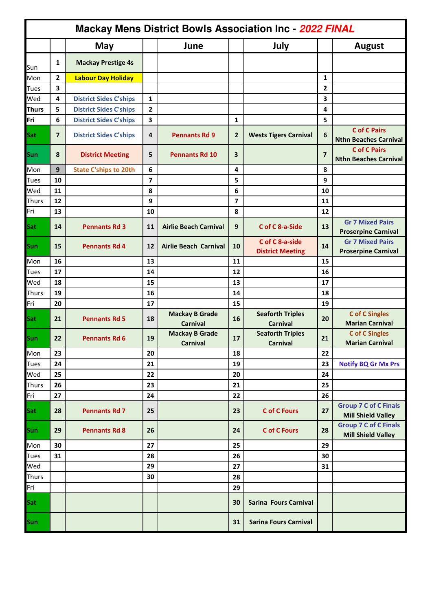| <b>Mackay Mens District Bowls Association Inc - 2022 FINAL</b> |                |                               |                         |                                          |              |                                            |                |                                                           |  |
|----------------------------------------------------------------|----------------|-------------------------------|-------------------------|------------------------------------------|--------------|--------------------------------------------|----------------|-----------------------------------------------------------|--|
|                                                                |                | <b>May</b>                    |                         | June                                     |              | July                                       |                | <b>August</b>                                             |  |
| Sun                                                            | 1              | <b>Mackay Prestige 4s</b>     |                         |                                          |              |                                            |                |                                                           |  |
| Mon                                                            | 2              | <b>Labour Day Holiday</b>     |                         |                                          |              |                                            | 1              |                                                           |  |
| <b>Tues</b>                                                    | 3              |                               |                         |                                          |              |                                            | $\overline{2}$ |                                                           |  |
| Wed                                                            | 4              | <b>District Sides C'ships</b> | 1                       |                                          |              |                                            | 3              |                                                           |  |
| <b>Thurs</b>                                                   | 5              | <b>District Sides C'ships</b> | $\overline{2}$          |                                          |              |                                            | 4              |                                                           |  |
| Fri                                                            | 6              | <b>District Sides C'ships</b> | $\overline{\mathbf{3}}$ |                                          | 1            |                                            | 5              |                                                           |  |
| Sat                                                            | $\overline{7}$ | <b>District Sides C'ships</b> | 4                       | <b>Pennants Rd 9</b>                     | $\mathbf{2}$ | <b>Wests Tigers Carnival</b>               | 6              | <b>C</b> of C Pairs<br><b>Nthn Beaches Carnival</b>       |  |
| Sun                                                            | 8              | <b>District Meeting</b>       | 5                       | <b>Pennants Rd 10</b>                    | 3            |                                            | $\overline{7}$ | <b>C</b> of C Pairs<br><b>Nthn Beaches Carnival</b>       |  |
| Mon                                                            | 9              | <b>State C'ships to 20th</b>  | 6                       |                                          | 4            |                                            | 8              |                                                           |  |
| <b>Tues</b>                                                    | 10             |                               | $\overline{7}$          |                                          | 5            |                                            | 9              |                                                           |  |
| Wed                                                            | 11             |                               | 8                       |                                          | 6            |                                            | 10             |                                                           |  |
| <b>Thurs</b>                                                   | 12             |                               | 9                       |                                          | 7            |                                            | 11             |                                                           |  |
| Fri                                                            | 13             |                               | 10                      |                                          | 8            |                                            | 12             |                                                           |  |
| Sat                                                            | 14             | <b>Pennants Rd 3</b>          | 11                      | <b>Airlie Beach Carnival</b>             | 9            | C of C 8-a-Side                            | 13             | <b>Gr 7 Mixed Pairs</b><br><b>Proserpine Carnival</b>     |  |
| Sun                                                            | 15             | <b>Pennants Rd 4</b>          | 12                      | <b>Airlie Beach Carnival</b>             | 10           | C of C 8-a-side<br><b>District Meeting</b> | 14             | <b>Gr 7 Mixed Pairs</b><br><b>Proserpine Carnival</b>     |  |
| Mon                                                            | 16             |                               | 13                      |                                          | 11           |                                            | 15             |                                                           |  |
| <b>Tues</b>                                                    | 17             |                               | 14                      |                                          | 12           |                                            | 16             |                                                           |  |
| Wed                                                            | 18             |                               | 15                      |                                          | 13           |                                            | 17             |                                                           |  |
| <b>Thurs</b>                                                   | 19             |                               | 16                      |                                          | 14           |                                            | 18             |                                                           |  |
| Fri                                                            | 20             |                               | 17                      |                                          | 15           |                                            | 19             |                                                           |  |
| Sat                                                            | 21             | <b>Pennants Rd 5</b>          | 18                      | <b>Mackay B Grade</b><br><b>Carnival</b> | 16           | <b>Seaforth Triples</b><br><b>Carnival</b> | 20             | <b>C</b> of C Singles<br><b>Marian Carnival</b>           |  |
| Sun                                                            | 22             | <b>Pennants Rd 6</b>          | 19                      | <b>Mackay B Grade</b><br><b>Carnival</b> | 17           | <b>Seaforth Triples</b><br><b>Carnival</b> | 21             | <b>C</b> of C Singles<br><b>Marian Carnival</b>           |  |
| Mon                                                            | 23             |                               | 20                      |                                          | 18           |                                            | 22             |                                                           |  |
| <b>Tues</b>                                                    | 24             |                               | 21                      |                                          | 19           |                                            | 23             | <b>Notify BQ Gr Mx Prs</b>                                |  |
| Wed                                                            | 25             |                               | 22                      |                                          | 20           |                                            | 24             |                                                           |  |
| <b>Thurs</b>                                                   | 26             |                               | 23                      |                                          | 21           |                                            | 25             |                                                           |  |
| Fri                                                            | 27             |                               | 24                      |                                          | 22           |                                            | 26             |                                                           |  |
| Sat                                                            | 28             | <b>Pennants Rd 7</b>          | 25                      |                                          | 23           | <b>C</b> of C Fours                        | 27             | <b>Group 7 C of C Finals</b><br><b>Mill Shield Valley</b> |  |
| Sun                                                            | 29             | <b>Pennants Rd 8</b>          | 26                      |                                          | 24           | <b>C</b> of C Fours                        | 28             | <b>Group 7 C of C Finals</b><br><b>Mill Shield Valley</b> |  |
| Mon                                                            | 30             |                               | 27                      |                                          | 25           |                                            | 29             |                                                           |  |
| <b>Tues</b>                                                    | 31             |                               | 28                      |                                          | 26           |                                            | 30             |                                                           |  |
| Wed                                                            |                |                               | 29                      |                                          | 27           |                                            | 31             |                                                           |  |
| <b>Thurs</b>                                                   |                |                               | 30                      |                                          | 28           |                                            |                |                                                           |  |
| Fri                                                            |                |                               |                         |                                          | 29           |                                            |                |                                                           |  |
| Sat                                                            |                |                               |                         |                                          | 30           | Sarina Fours Carnival                      |                |                                                           |  |
| Sun                                                            |                |                               |                         |                                          | 31           | <b>Sarina Fours Carnival</b>               |                |                                                           |  |